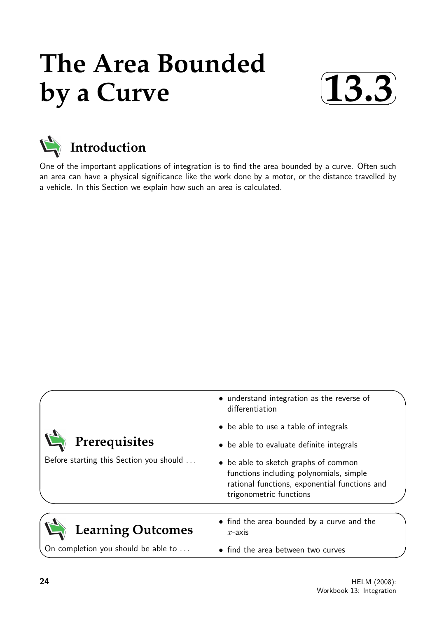# **The Area Bounded by a Curve**





One of the important applications of integration is to find the area bounded by a curve. Often such an area can have a physical significance like the work done by a motor, or the distance travelled by a vehicle. In this Section we explain how such an area is calculated.

|                                         | • understand integration as the reverse of<br>differentiation                                                                                               |
|-----------------------------------------|-------------------------------------------------------------------------------------------------------------------------------------------------------------|
|                                         | • be able to use a table of integrals                                                                                                                       |
| Prerequisites                           | • be able to evaluate definite integrals                                                                                                                    |
| Before starting this Section you should | • be able to sketch graphs of common<br>functions including polynomials, simple<br>rational functions, exponential functions and<br>trigonometric functions |
|                                         |                                                                                                                                                             |
| <b>Learning Outcomes</b>                | • find the area bounded by a curve and the<br>$x$ -axis                                                                                                     |
| On completion you should be able to     | • find the area between two curves                                                                                                                          |

 $\overline{\phantom{0}}$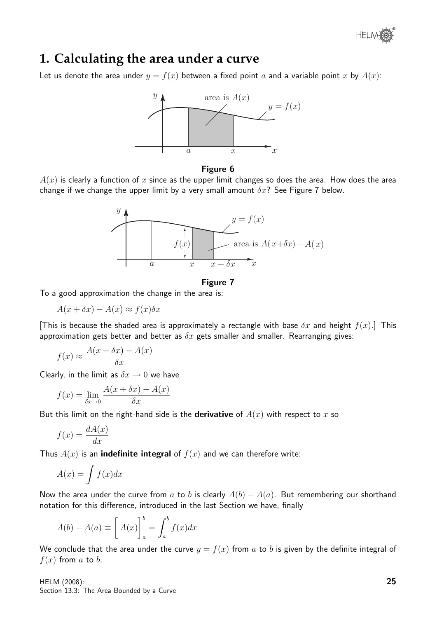

### **1. Calculating the area under a curve**

Let us denote the area under  $y = f(x)$  between a fixed point a and a variable point x by  $A(x)$ :



#### Figure 6

 $A(x)$  is clearly a function of x since as the upper limit changes so does the area. How does the area change if we change the upper limit by a very small amount  $\delta x$ ? See Figure 7 below.



#### Figure 7

To a good approximation the change in the area is:

$$
A(x + \delta x) - A(x) \approx f(x)\delta x
$$

[This is because the shaded area is approximately a rectangle with base  $\delta x$  and height  $f(x)$ .] This approximation gets better and better as  $\delta x$  gets smaller and smaller. Rearranging gives:

$$
f(x) \approx \frac{A(x + \delta x) - A(x)}{\delta x}
$$

Clearly, in the limit as  $\delta x \rightarrow 0$  we have

$$
f(x) = \lim_{\delta x \to 0} \frac{A(x + \delta x) - A(x)}{\delta x}
$$

But this limit on the right-hand side is the **derivative** of  $A(x)$  with respect to x so

$$
f(x) = \frac{dA(x)}{dx}
$$

Thus  $A(x)$  is an **indefinite integral** of  $f(x)$  and we can therefore write:

$$
A(x) = \int f(x)dx
$$

Now the area under the curve from a to b is clearly  $A(b) - A(a)$ . But remembering our shorthand notation for this difference, introduced in the last Section we have, finally

$$
A(b) - A(a) \equiv \left[ A(x) \right]_a^b = \int_a^b f(x) dx
$$

We conclude that the area under the curve  $y = f(x)$  from a to b is given by the definite integral of  $f(x)$  from a to b.

HELM (2008): Section 13.3: The Area Bounded by a Curve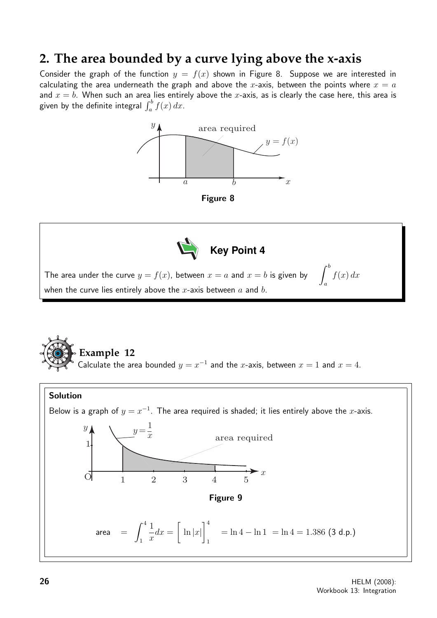## **2. The area bounded by a curve lying above the x-axis**

Consider the graph of the function  $y = f(x)$  shown in Figure 8. Suppose we are interested in calculating the area underneath the graph and above the x-axis, between the points where  $x = a$ and  $x = b$ . When such an area lies entirely above the x-axis, as is clearly the case here, this area is given by the definite integral  $\int_a^b f(x)\,dx.$ 







The area under the curve  $y = f(x)$ , between  $x = a$  and  $x = b$  is given by  $\qquad \int^b$ a  $f(x) dx$ when the curve lies entirely above the x-axis between  $a$  and  $b$ .

### **Example 12**

Calculate the area bounded  $y = x^{-1}$  and the x-axis, between  $x = 1$  and  $x = 4$ .

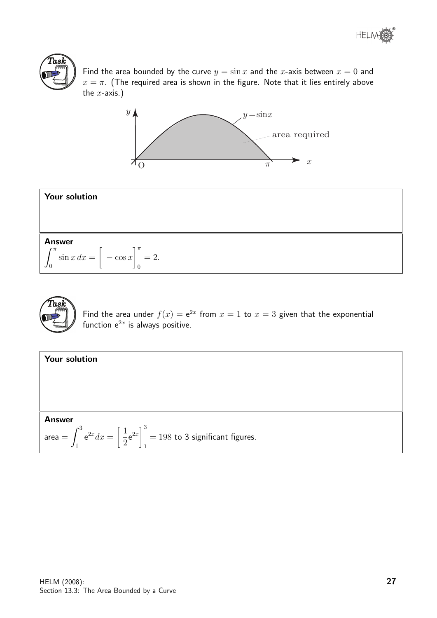

Find the area bounded by the curve  $y = \sin x$  and the x-axis between  $x = 0$  and  $x = \pi$ . (The required area is shown in the figure. Note that it lies entirely above the  $x$ -axis.)







Find the area under  $f(x) = e^{2x}$  from  $x = 1$  to  $x = 3$  given that the exponential function  $e^{2x}$  is always positive.

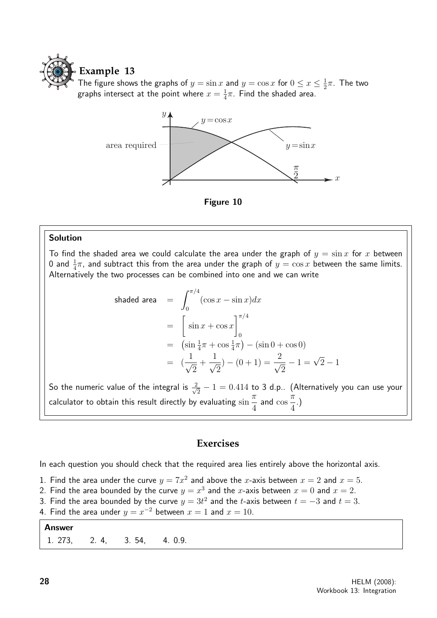

The figure shows the graphs of  $y = \sin x$  and  $y = \cos x$  for  $0 \le x \le \frac{1}{2}$  $\frac{1}{2}\pi$ . The two graphs intersect at the point where  $x=\frac{1}{4}$  $\frac{1}{4}\pi$ . Find the shaded area.



Figure 10

### Solution

To find the shaded area we could calculate the area under the graph of  $y = \sin x$  for x between 0 and  $\frac{1}{4}\pi$ , and subtract this from the area under the graph of  $y=\cos x$  between the same limits. Alternatively the two processes can be combined into one and we can write

shaded area 
$$
= \int_0^{\pi/4} (\cos x - \sin x) dx
$$

$$
= \left[ \sin x + \cos x \right]_0^{\pi/4}
$$

$$
= (\sin \frac{1}{4}\pi + \cos \frac{1}{4}\pi) - (\sin 0 + \cos 0)
$$

$$
= (\frac{1}{\sqrt{2}} + \frac{1}{\sqrt{2}}) - (0 + 1) = \frac{2}{\sqrt{2}} - 1 = \sqrt{2} - 1
$$

So the numeric value of the integral is  $\frac{2}{\sqrt{2}}$  $\frac{2}{2}-1=0.414$  to 3 d.p.. (Alternatively you can use your calculator to obtain this result directly by evaluating sin  $\pi$ 4 and cos  $\pi$ 4 .)

### **Exercises**

In each question you should check that the required area lies entirely above the horizontal axis.

- 1. Find the area under the curve  $y = 7x^2$  and above the x-axis between  $x = 2$  and  $x = 5$ .
- 2. Find the area bounded by the curve  $y = x^3$  and the x-axis between  $x = 0$  and  $x = 2$ .
- 3. Find the area bounded by the curve  $y = 3t^2$  and the t-axis between  $t = -3$  and  $t = 3$ .
- 4. Find the area under  $y = x^{-2}$  between  $x = 1$  and  $x = 10$ .

| <b>Answer</b> |                              |  |
|---------------|------------------------------|--|
|               | 1. 273, 2. 4, 3. 54, 4. 0.9. |  |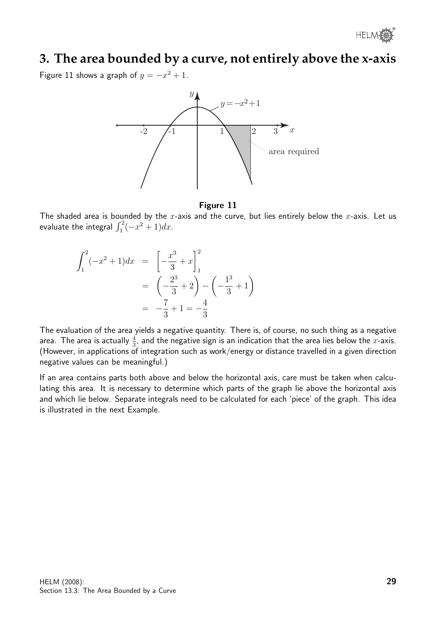# **3. The area bounded by a curve, not entirely above the x-axis**

Figure 11 shows a graph of  $y = -x^2 + 1$ .



Figure 11

The shaded area is bounded by the  $x$ -axis and the curve, but lies entirely below the  $x$ -axis. Let us evaluate the integral  $\int_1^2(-x^2+1)dx$ .

$$
\int_{1}^{2} (-x^{2} + 1)dx = \left[ -\frac{x^{3}}{3} + x \right]_{1}^{2}
$$

$$
= \left( -\frac{2^{3}}{3} + 2 \right) - \left( -\frac{1^{3}}{3} + 1 \right)
$$

$$
= -\frac{7}{3} + 1 = -\frac{4}{3}
$$

The evaluation of the area yields a negative quantity. There is, of course, no such thing as a negative area. The area is actually  $\frac{4}{3}$ , and the negative sign is an indication that the area lies below the  $x$ -axis. (However, in applications of integration such as work/energy or distance travelled in a given direction negative values can be meaningful.)

If an area contains parts both above and below the horizontal axis, care must be taken when calculating this area. It is necessary to determine which parts of the graph lie above the horizontal axis and which lie below. Separate integrals need to be calculated for each 'piece' of the graph. This idea is illustrated in the next Example.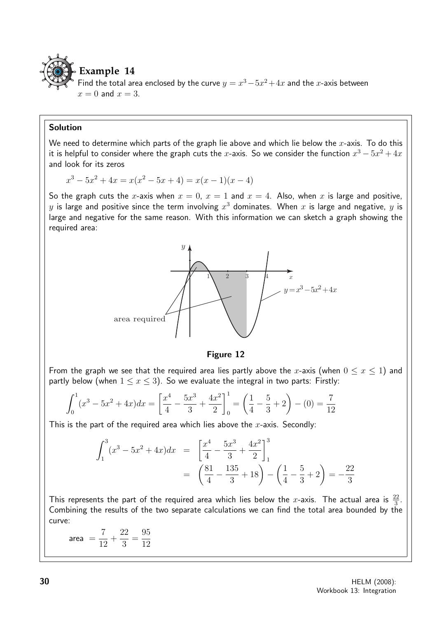

Find the total area enclosed by the curve  $y = x^3 - 5x^2 + 4x$  and the x-axis between  $x = 0$  and  $x = 3$ .

### Solution

We need to determine which parts of the graph lie above and which lie below the  $x$ -axis. To do this it is helpful to consider where the graph cuts the  $x$ -axis. So we consider the function  $x^3 - 5x^2 + 4x$ and look for its zeros

$$
x^{3} - 5x^{2} + 4x = x(x^{2} - 5x + 4) = x(x - 1)(x - 4)
$$

So the graph cuts the x-axis when  $x = 0$ ,  $x = 1$  and  $x = 4$ . Also, when x is large and positive,  $y$  is large and positive since the term involving  $x^3$  dominates. When  $x$  is large and negative,  $y$  is large and negative for the same reason. With this information we can sketch a graph showing the required area:



### Figure 12

From the graph we see that the required area lies partly above the x-axis (when  $0 \le x \le 1$ ) and partly below (when  $1 \le x \le 3$ ). So we evaluate the integral in two parts: Firstly:

$$
\int_0^1 (x^3 - 5x^2 + 4x) dx = \left[ \frac{x^4}{4} - \frac{5x^3}{3} + \frac{4x^2}{2} \right]_0^1 = \left( \frac{1}{4} - \frac{5}{3} + 2 \right) - (0) = \frac{7}{12}
$$

This is the part of the required area which lies above the  $x$ -axis. Secondly:

$$
\int_{1}^{3} (x^{3} - 5x^{2} + 4x) dx = \left[ \frac{x^{4}}{4} - \frac{5x^{3}}{3} + \frac{4x^{2}}{2} \right]_{1}^{3}
$$

$$
= \left( \frac{81}{4} - \frac{135}{3} + 18 \right) - \left( \frac{1}{4} - \frac{5}{3} + 2 \right) = -\frac{22}{3}
$$

This represents the part of the required area which lies below the x-axis. The actual area is  $\frac{22}{3}$ . Combining the results of the two separate calculations we can find the total area bounded by the curve:

 $area =$ 7 12  $+$ 22 3 = 95 12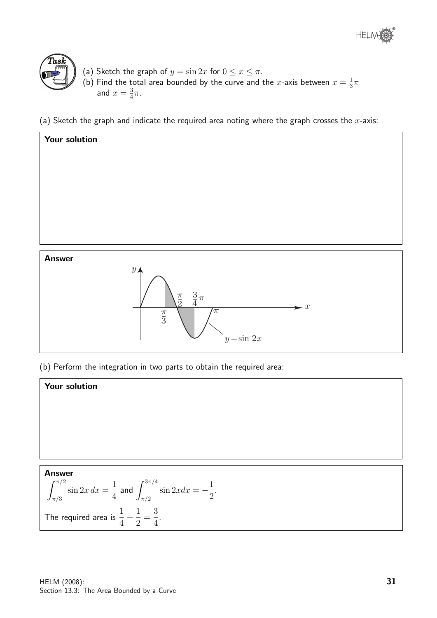



- (a) Sketch the graph of  $y = \sin 2x$  for  $0 \le x \le \pi$ . (b) Find the total area bounded by the curve and the x-axis between  $x=\frac{1}{3}$  $rac{1}{3}\pi$ and  $x=\frac{3}{4}$  $\frac{3}{4}\pi$ .
- (a) Sketch the graph and indicate the required area noting where the graph crosses the  $x$ -axis:



(b) Perform the integration in two parts to obtain the required area:

### Your solution

Answer  
\n
$$
\int_{\pi/3}^{\pi/2} \sin 2x \, dx = \frac{1}{4} \text{ and } \int_{\pi/2}^{3\pi/4} \sin 2x \, dx = -\frac{1}{2}.
$$
\nThe required area is  $\frac{1}{4} + \frac{1}{2} = \frac{3}{4}$ .